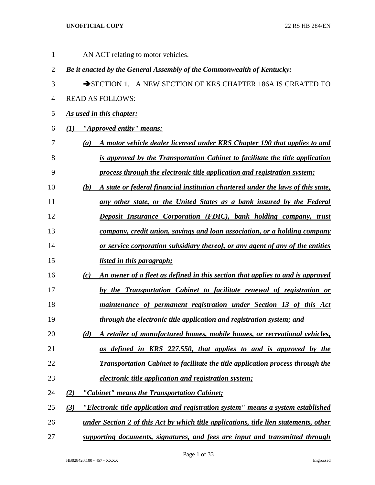1 AN ACT relating to motor vehicles. *Be it enacted by the General Assembly of the Commonwealth of Kentucky:* 3 SECTION 1. A NEW SECTION OF KRS CHAPTER 186A IS CREATED TO READ AS FOLLOWS: *As used in this chapter: (1) "Approved entity" means: (a) A motor vehicle dealer licensed under KRS Chapter 190 that applies to and is approved by the Transportation Cabinet to facilitate the title application process through the electronic title application and registration system; (b) A state or federal financial institution chartered under the laws of this state, any other state, or the United States as a bank insured by the Federal Deposit Insurance Corporation (FDIC), bank holding company, trust company, credit union, savings and loan association, or a holding company or service corporation subsidiary thereof, or any agent of any of the entities listed in this paragraph; (c) An owner of a fleet as defined in this section that applies to and is approved by the Transportation Cabinet to facilitate renewal of registration or maintenance of permanent registration under Section 13 of this Act through the electronic title application and registration system; and (d) A retailer of manufactured homes, mobile homes, or recreational vehicles, as defined in KRS 227.550, that applies to and is approved by the Transportation Cabinet to facilitate the title application process through the electronic title application and registration system; (2) "Cabinet" means the Transportation Cabinet; (3) "Electronic title application and registration system" means a system established under Section 2 of this Act by which title applications, title lien statements, other supporting documents, signatures, and fees are input and transmitted through*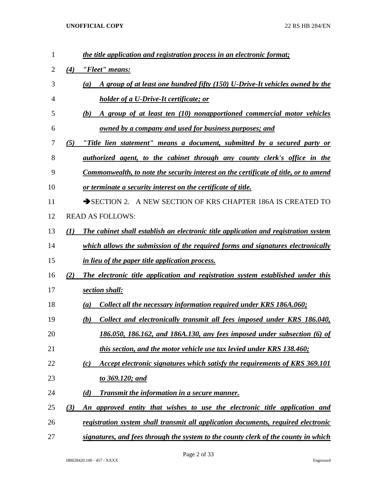| 1  |     | the title application and registration process in an electronic format;                     |
|----|-----|---------------------------------------------------------------------------------------------|
| 2  | (4) | "Fleet" means:                                                                              |
| 3  |     | A group of at least one hundred fifty (150) U-Drive-It vehicles owned by the<br>(a)         |
| 4  |     | <b>holder of a U-Drive-It certificate; or</b>                                               |
| 5  |     | A group of at least ten (10) nonapportioned commercial motor vehicles<br>(b)                |
| 6  |     | <u>owned by a company and used for business purposes; and</u>                               |
| 7  | (5) | "Title lien statement" means a document, submitted by a secured party or                    |
| 8  |     | <u>authorized agent, to the cabinet through any county clerk's office in the</u>            |
| 9  |     | <u>Commonwealth, to note the security interest on the certificate of title, or to amend</u> |
| 10 |     | <u>or terminate a security interest on the certificate of title.</u>                        |
| 11 |     | SECTION 2. A NEW SECTION OF KRS CHAPTER 186A IS CREATED TO                                  |
| 12 |     | <b>READ AS FOLLOWS:</b>                                                                     |
| 13 | (I) | <b>The cabinet shall establish an electronic title application and registration system</b>  |
| 14 |     | which allows the submission of the required forms and signatures electronically             |
| 15 |     | in lieu of the paper title application process.                                             |
| 16 | (2) | The electronic title application and registration system established under this             |
| 17 |     | section shall:                                                                              |
| 18 |     | Collect all the necessary information required under KRS 186A.060;<br>(a)                   |
| 19 |     | Collect and electronically transmit all fees imposed under KRS 186.040,<br>(b)              |
| 20 |     | 186.050, 186.162, and 186A.130, any fees imposed under subsection (6) of                    |
| 21 |     | this section, and the motor vehicle use tax levied under KRS 138.460;                       |
| 22 |     | Accept electronic signatures which satisfy the requirements of KRS 369.101<br>(c)           |
| 23 |     | to 369.120; and                                                                             |
| 24 |     | (d)<br><b>Transmit the information in a secure manner.</b>                                  |
| 25 | (3) | An approved entity that wishes to use the electronic title application and                  |
| 26 |     | registration system shall transmit all application documents, required electronic           |
| 27 |     | signatures, and fees through the system to the county clerk of the county in which          |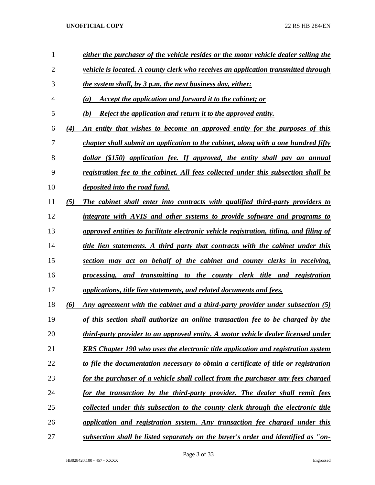| 1  |     | either the purchaser of the vehicle resides or the motor vehicle dealer selling the      |
|----|-----|------------------------------------------------------------------------------------------|
| 2  |     | vehicle is located. A county clerk who receives an application transmitted through       |
| 3  |     | the system shall, by 3 p.m. the next business day, either:                               |
| 4  |     | Accept the application and forward it to the cabinet; or<br>$\left(a\right)$             |
| 5  |     | Reject the application and return it to the approved entity.<br>(b)                      |
| 6  | (4) | An entity that wishes to become an approved entity for the purposes of this              |
| 7  |     | chapter shall submit an application to the cabinet, along with a one hundred fifty       |
| 8  |     | dollar (\$150) application fee. If approved, the entity shall pay an annual              |
| 9  |     | registration fee to the cabinet. All fees collected under this subsection shall be       |
| 10 |     | <i>deposited into the road fund.</i>                                                     |
| 11 | (5) | The cabinet shall enter into contracts with qualified third-party providers to           |
| 12 |     | integrate with AVIS and other systems to provide software and programs to                |
| 13 |     | approved entities to facilitate electronic vehicle registration, titling, and filing of  |
| 14 |     | title lien statements. A third party that contracts with the cabinet under this          |
| 15 |     | section may act on behalf of the cabinet and county clerks in receiving,                 |
| 16 |     | processing, and transmitting to the county clerk title and registration                  |
| 17 |     | applications, title lien statements, and related documents and fees.                     |
| 18 | (6) | Any agreement with the cabinet and a third-party provider under subsection (5)           |
| 19 |     | of this section shall authorize an online transaction fee to be charged by the           |
| 20 |     | third-party provider to an approved entity. A motor vehicle dealer licensed under        |
| 21 |     | <b>KRS Chapter 190 who uses the electronic title application and registration system</b> |
| 22 |     | to file the documentation necessary to obtain a certificate of title or registration     |
| 23 |     | for the purchaser of a vehicle shall collect from the purchaser any fees charged         |
| 24 |     | for the transaction by the third-party provider. The dealer shall remit fees             |
| 25 |     | collected under this subsection to the county clerk through the electronic title         |
| 26 |     | application and registration system. Any transaction fee charged under this              |
| 27 |     | subsection shall be listed separately on the buyer's order and identified as "on-        |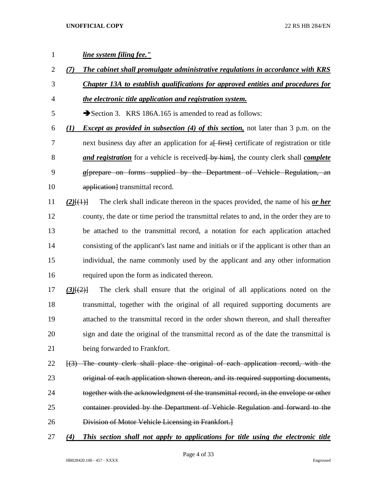# *line system filing fee." (7) The cabinet shall promulgate administrative regulations in accordance with KRS Chapter 13A to establish qualifications for approved entities and procedures for the electronic title application and registration system.* 5 Section 3. KRS 186A.165 is amended to read as follows: *(1) Except as provided in subsection (4) of this section,* not later than 3 p.m. on the 7 next business day after an application for a<del>[ first]</del> certificate of registration or title 8 **and registration** for a vehicle is received by himmed by clerk shall *complete a*[prepare on forms supplied by the Department of Vehicle Regulation, an 10 application transmittal record. *(2)*[(1)] The clerk shall indicate thereon in the spaces provided, the name of his *or her* county, the date or time period the transmittal relates to and, in the order they are to be attached to the transmittal record, a notation for each application attached consisting of the applicant's last name and initials or if the applicant is other than an individual, the name commonly used by the applicant and any other information required upon the form as indicated thereon. *(3)*[(2)] The clerk shall ensure that the original of all applications noted on the transmittal, together with the original of all required supporting documents are attached to the transmittal record in the order shown thereon, and shall thereafter sign and date the original of the transmittal record as of the date the transmittal is being forwarded to Frankfort. 22 [(3) The county clerk shall place the original of each application record, with the 23 original of each application shown thereon, and its required supporting documents,

- 24 together with the acknowledgment of the transmittal record, in the envelope or other container provided by the Department of Vehicle Regulation and forward to the Division of Motor Vehicle Licensing in Frankfort.]
- *(4) This section shall not apply to applications for title using the electronic title*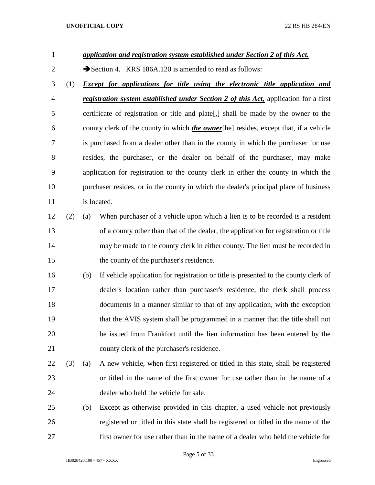| $\mathbf{1}$   |     |     | application and registration system established under Section 2 of this Act.                     |  |  |  |  |  |  |
|----------------|-----|-----|--------------------------------------------------------------------------------------------------|--|--|--|--|--|--|
| $\overline{2}$ |     |     | Section 4. KRS 186A.120 is amended to read as follows:                                           |  |  |  |  |  |  |
| 3              | (1) |     | <b>Except for applications for title using the electronic title application and</b>              |  |  |  |  |  |  |
| $\overline{4}$ |     |     | registration system established under Section 2 of this Act, application for a first             |  |  |  |  |  |  |
| 5              |     |     | certificate of registration or title and plate <sup>[44]</sup> shall be made by the owner to the |  |  |  |  |  |  |
| 6              |     |     | county clerk of the county in which <i>the owner</i> [he] resides, except that, if a vehicle     |  |  |  |  |  |  |
| 7              |     |     | is purchased from a dealer other than in the county in which the purchaser for use               |  |  |  |  |  |  |
| 8              |     |     | resides, the purchaser, or the dealer on behalf of the purchaser, may make                       |  |  |  |  |  |  |
| 9              |     |     | application for registration to the county clerk in either the county in which the               |  |  |  |  |  |  |
| 10             |     |     | purchaser resides, or in the county in which the dealer's principal place of business            |  |  |  |  |  |  |
| 11             |     |     | is located.                                                                                      |  |  |  |  |  |  |
| 12             | (2) | (a) | When purchaser of a vehicle upon which a lien is to be recorded is a resident                    |  |  |  |  |  |  |
| 13             |     |     | of a county other than that of the dealer, the application for registration or title             |  |  |  |  |  |  |
| 14             |     |     | may be made to the county clerk in either county. The lien must be recorded in                   |  |  |  |  |  |  |
| 15             |     |     | the county of the purchaser's residence.                                                         |  |  |  |  |  |  |
| 16             |     | (b) | If vehicle application for registration or title is presented to the county clerk of             |  |  |  |  |  |  |
| 17             |     |     | dealer's location rather than purchaser's residence, the clerk shall process                     |  |  |  |  |  |  |
| 18             |     |     | documents in a manner similar to that of any application, with the exception                     |  |  |  |  |  |  |
| 19             |     |     | that the AVIS system shall be programmed in a manner that the title shall not                    |  |  |  |  |  |  |
| 20             |     |     | be issued from Frankfort until the lien information has been entered by the                      |  |  |  |  |  |  |
| 21             |     |     | county clerk of the purchaser's residence.                                                       |  |  |  |  |  |  |
| 22             | (3) | (a) | A new vehicle, when first registered or titled in this state, shall be registered                |  |  |  |  |  |  |
| 23             |     |     | or titled in the name of the first owner for use rather than in the name of a                    |  |  |  |  |  |  |
| 24             |     |     | dealer who held the vehicle for sale.                                                            |  |  |  |  |  |  |
| 25             |     | (b) | Except as otherwise provided in this chapter, a used vehicle not previously                      |  |  |  |  |  |  |
| 26             |     |     | registered or titled in this state shall be registered or titled in the name of the              |  |  |  |  |  |  |
| 27             |     |     | first owner for use rather than in the name of a dealer who held the vehicle for                 |  |  |  |  |  |  |

Page 5 of 33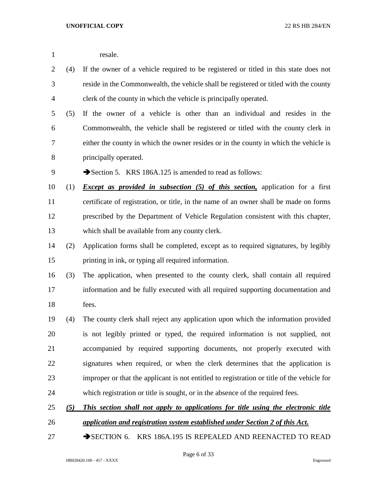| resale. |
|---------|
|         |

- (4) If the owner of a vehicle required to be registered or titled in this state does not reside in the Commonwealth, the vehicle shall be registered or titled with the county clerk of the county in which the vehicle is principally operated.
- (5) If the owner of a vehicle is other than an individual and resides in the Commonwealth, the vehicle shall be registered or titled with the county clerk in either the county in which the owner resides or in the county in which the vehicle is principally operated.
- 9 Section 5. KRS 186A.125 is amended to read as follows:
- (1) *Except as provided in subsection (5) of this section,* application for a first certificate of registration, or title, in the name of an owner shall be made on forms prescribed by the Department of Vehicle Regulation consistent with this chapter, which shall be available from any county clerk.
- (2) Application forms shall be completed, except as to required signatures, by legibly printing in ink, or typing all required information.
- (3) The application, when presented to the county clerk, shall contain all required information and be fully executed with all required supporting documentation and fees.
- (4) The county clerk shall reject any application upon which the information provided is not legibly printed or typed, the required information is not supplied, not accompanied by required supporting documents, not properly executed with signatures when required, or when the clerk determines that the application is improper or that the applicant is not entitled to registration or title of the vehicle for which registration or title is sought, or in the absence of the required fees.
- *(5) This section shall not apply to applications for title using the electronic title*
- *application and registration system established under Section 2 of this Act.*
- 27 SECTION 6. KRS 186A.195 IS REPEALED AND REENACTED TO READ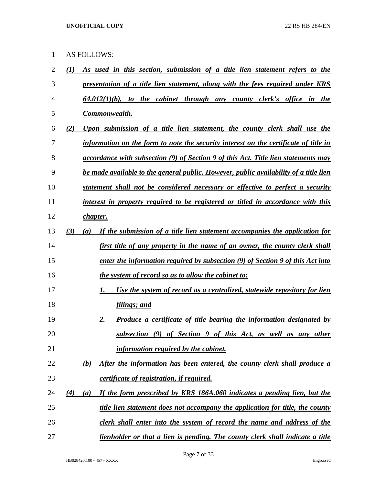AS FOLLOWS:

| $\overline{c}$ | As used in this section, submission of a title lien statement refers to the<br>(I)           |
|----------------|----------------------------------------------------------------------------------------------|
| 3              | presentation of a title lien statement, along with the fees required under KRS               |
| 4              | $64.012(1)(b)$ , to the cabinet through any county clerk's office in the                     |
| 5              | Commonwealth.                                                                                |
| 6              | Upon submission of a title lien statement, the county clerk shall use the<br>(2)             |
| 7              | information on the form to note the security interest on the certificate of title in         |
| 8              | <u>accordance with subsection (9) of Section 9 of this Act. Title lien statements may</u>    |
| 9              | <u>be made available to the general public. However, public availability of a title lien</u> |
| 10             | statement shall not be considered necessary or effective to perfect a security               |
| 11             | interest in property required to be registered or titled in accordance with this             |
| 12             | <u>chapter.</u>                                                                              |
| 13             | (3)<br>If the submission of a title lien statement accompanies the application for<br>(a)    |
| 14             | first title of any property in the name of an owner, the county clerk shall                  |
| 15             | enter the information required by subsection (9) of Section 9 of this Act into               |
| 16             | <i>the system of record so as to allow the cabinet to:</i>                                   |
| 17             | Use the system of record as a centralized, statewide repository for lien<br>1.               |
| 18             | <u>filings; and</u>                                                                          |
| 19             | 2.<br><b>Produce a certificate of title bearing the information designated by</b>            |
| 20             | <u>subsection (9) of Section 9 of this Act, as well as any other</u>                         |
| 21             | information required by the cabinet.                                                         |
| 22             | After the information has been entered, the county clerk shall produce a<br>(b)              |
| 23             | certificate of registration, if required.                                                    |
| 24             | If the form prescribed by KRS 186A.060 indicates a pending lien, but the<br>(4)<br>(a)       |
| 25             | title lien statement does not accompany the application for title, the county                |
| 26             | clerk shall enter into the system of record the name and address of the                      |
| 27             | lienholder or that a lien is pending. The county clerk shall indicate a title                |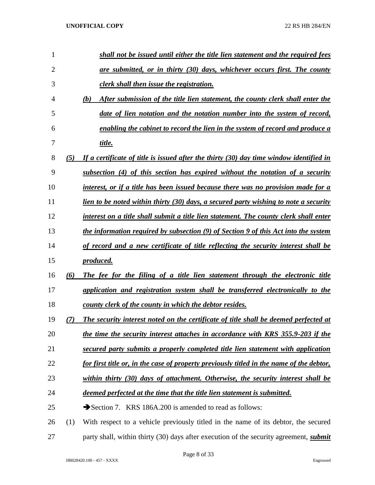| 1              |     | shall not be issued until either the title lien statement and the required fees               |
|----------------|-----|-----------------------------------------------------------------------------------------------|
| $\overline{2}$ |     | are submitted, or in thirty (30) days, whichever occurs first. The county                     |
| 3              |     | clerk shall then issue the registration.                                                      |
| 4              |     | (b)<br>After submission of the title lien statement, the county clerk shall enter the         |
| 5              |     | date of lien notation and the notation number into the system of record,                      |
| 6              |     | enabling the cabinet to record the lien in the system of record and produce a                 |
| 7              |     | title.                                                                                        |
| 8              | (5) | If a certificate of title is issued after the thirty $(30)$ day time window identified in     |
| 9              |     | subsection (4) of this section has expired without the notation of a security                 |
| 10             |     | interest, or if a title has been issued because there was no provision made for a             |
| 11             |     | lien to be noted within thirty (30) days, a secured party wishing to note a security          |
| 12             |     | interest on a title shall submit a title lien statement. The county clerk shall enter         |
| 13             |     | the information required by subsection (9) of Section 9 of this Act into the system           |
| 14             |     | of record and a new certificate of title reflecting the security interest shall be            |
| 15             |     | produced.                                                                                     |
| 16             | (6) | The fee for the filing of a title lien statement through the electronic title                 |
| 17             |     | application and registration system shall be transferred electronically to the                |
| 18             |     | county clerk of the county in which the debtor resides.                                       |
| 19             |     | The security interest noted on the certificate of title shall be deemed perfected at          |
| 20             |     | the time the security interest attaches in accordance with KRS 355.9-203 if the               |
| 21             |     | secured party submits a properly completed title lien statement with application              |
| 22             |     | for first title or, in the case of property previously titled in the name of the debtor,      |
| 23             |     | within thirty (30) days of attachment. Otherwise, the security interest shall be              |
| 24             |     | deemed perfected at the time that the title lien statement is submitted.                      |
| 25             |     | Section 7. KRS 186A.200 is amended to read as follows:                                        |
| 26             | (1) | With respect to a vehicle previously titled in the name of its debtor, the secured            |
| 27             |     | party shall, within thirty (30) days after execution of the security agreement, <i>submit</i> |

Page 8 of 33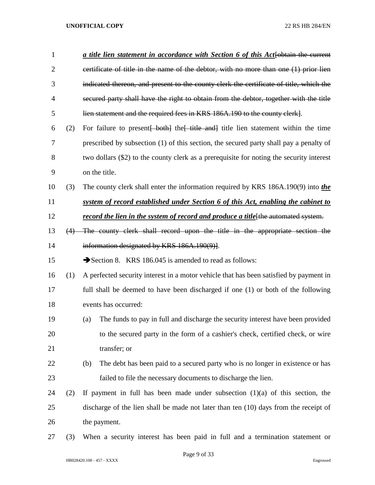| $\mathbf{1}$   |     | a title lien statement in accordance with Section 6 of this Act-[obtain the current           |
|----------------|-----|-----------------------------------------------------------------------------------------------|
| $\overline{2}$ |     | certificate of title in the name of the debtor, with no more than one (1) prior lien          |
| 3              |     | indicated thereon, and present to the county clerk the certificate of title, which the        |
| 4              |     | secured party shall have the right to obtain from the debtor, together with the title         |
| 5              |     | lien statement and the required fees in KRS 186A.190 to the county clerk].                    |
| 6              | (2) | For failure to present both the title and title lien statement within the time                |
| 7              |     | prescribed by subsection (1) of this section, the secured party shall pay a penalty of        |
| 8              |     | two dollars (\$2) to the county clerk as a prerequisite for noting the security interest      |
| 9              |     | on the title.                                                                                 |
| 10             | (3) | The county clerk shall enter the information required by KRS 186A.190(9) into the             |
| 11             |     | system of record established under Section 6 of this Act, enabling the cabinet to             |
| 12             |     | record the lien in the system of record and produce a title <sup>[the automated</sup> system. |
| 13             | (4) | The county clerk shall record upon the title in the appropriate section the                   |
| 14             |     | information designated by KRS 186A.190(9).                                                    |
| 15             |     | Section 8. KRS 186.045 is amended to read as follows:                                         |
| 16             | (1) | A perfected security interest in a motor vehicle that has been satisfied by payment in        |
| 17             |     | full shall be deemed to have been discharged if one (1) or both of the following              |
| 18             |     | events has occurred:                                                                          |
| 19             |     | The funds to pay in full and discharge the security interest have been provided<br>(a)        |
| 20             |     | to the secured party in the form of a cashier's check, certified check, or wire               |
| 21             |     | transfer; or                                                                                  |
| 22             |     | The debt has been paid to a secured party who is no longer in existence or has<br>(b)         |
| 23             |     | failed to file the necessary documents to discharge the lien.                                 |
| 24             | (2) | If payment in full has been made under subsection $(1)(a)$ of this section, the               |
| 25             |     | discharge of the lien shall be made not later than ten (10) days from the receipt of          |
| 26             |     | the payment.                                                                                  |
| 27             | (3) | When a security interest has been paid in full and a termination statement or                 |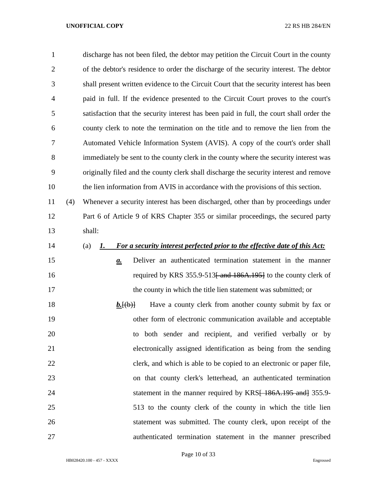| $\mathbf{1}$   |     | discharge has not been filed, the debtor may petition the Circuit Court in the county    |
|----------------|-----|------------------------------------------------------------------------------------------|
| $\overline{2}$ |     | of the debtor's residence to order the discharge of the security interest. The debtor    |
| 3              |     | shall present written evidence to the Circuit Court that the security interest has been  |
| $\overline{4}$ |     | paid in full. If the evidence presented to the Circuit Court proves to the court's       |
| 5              |     | satisfaction that the security interest has been paid in full, the court shall order the |
| 6              |     | county clerk to note the termination on the title and to remove the lien from the        |
| 7              |     | Automated Vehicle Information System (AVIS). A copy of the court's order shall           |
| 8              |     | immediately be sent to the county clerk in the county where the security interest was    |
| 9              |     | originally filed and the county clerk shall discharge the security interest and remove   |
| 10             |     | the lien information from AVIS in accordance with the provisions of this section.        |
| 11             | (4) | Whenever a security interest has been discharged, other than by proceedings under        |
| 12             |     | Part 6 of Article 9 of KRS Chapter 355 or similar proceedings, the secured party         |
| 13             |     | shall:                                                                                   |
| 14             |     | For a security interest perfected prior to the effective date of this Act:<br>(a)<br>1.  |
| 15             |     | Deliver an authenticated termination statement in the manner<br>$\mathbf{a}$ .           |
| 16             |     | required by KRS 355.9-513 <del>[ and 186A.195]</del> to the county clerk of              |
| 17             |     | the county in which the title lien statement was submitted; or                           |
| 18             |     | Have a county clerk from another county submit by fax or<br>$b.\text{[}(b)$              |
| 19             |     | other form of electronic communication available and acceptable                          |
| 20             |     | to both sender and recipient, and verified verbally or by                                |
| 21             |     | electronically assigned identification as being from the sending                         |
| 22             |     | clerk, and which is able to be copied to an electronic or paper file,                    |
| 23             |     | on that county clerk's letterhead, an authenticated termination                          |
| 24             |     | statement in the manner required by KRS <del>[ 186A.195 and]</del> 355.9-                |
| 25             |     | 513 to the county clerk of the county in which the title lien                            |
| 26             |     | statement was submitted. The county clerk, upon receipt of the                           |
| 27             |     | authenticated termination statement in the manner prescribed                             |

Page 10 of 33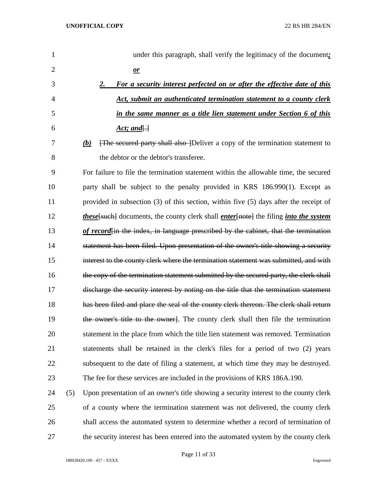| 1              |     | under this paragraph, shall verify the legitimacy of the document:                                          |
|----------------|-----|-------------------------------------------------------------------------------------------------------------|
| $\overline{2}$ |     | $\mathbf{r}$                                                                                                |
| 3              |     | For a security interest perfected on or after the effective date of this<br>2.                              |
| 4              |     | Act, submit an authenticated termination statement to a county clerk                                        |
| 5              |     | in the same manner as a title lien statement under Section 6 of this                                        |
| 6              |     | <u>Act; and</u> $\Box$                                                                                      |
| 7              |     | [The secured party shall also ]Deliver a copy of the termination statement to<br>(b)                        |
| 8              |     | the debtor or the debtor's transferee.                                                                      |
| 9              |     | For failure to file the termination statement within the allowable time, the secured                        |
| 10             |     | party shall be subject to the penalty provided in KRS 186.990(1). Except as                                 |
| 11             |     | provided in subsection $(3)$ of this section, within five $(5)$ days after the receipt of                   |
| 12             |     | <i>these</i> [such] documents, the county clerk shall <i>enter</i> [note] the filing <i>into the system</i> |
| 13             |     | of record in the index, in language prescribed by the cabinet, that the termination                         |
| 14             |     | statement has been filed. Upon presentation of the owner's title showing a security                         |
| 15             |     | interest to the county clerk where the termination statement was submitted, and with                        |
| 16             |     | the copy of the termination statement submitted by the secured party, the clerk shall                       |
| 17             |     | discharge the security interest by noting on the title that the termination statement                       |
| 18             |     | has been filed and place the seal of the county clerk thereon. The clerk shall return                       |
| 19             |     | the owner's title to the owner. The county clerk shall then file the termination                            |
| 20             |     | statement in the place from which the title lien statement was removed. Termination                         |
| 21             |     | statements shall be retained in the clerk's files for a period of two (2) years                             |
| 22             |     | subsequent to the date of filing a statement, at which time they may be destroyed.                          |
| 23             |     | The fee for these services are included in the provisions of KRS 186A.190.                                  |
| 24             | (5) | Upon presentation of an owner's title showing a security interest to the county clerk                       |
| 25             |     | of a county where the termination statement was not delivered, the county clerk                             |
| 26             |     | shall access the automated system to determine whether a record of termination of                           |
| 27             |     | the security interest has been entered into the automated system by the county clerk                        |

Page 11 of 33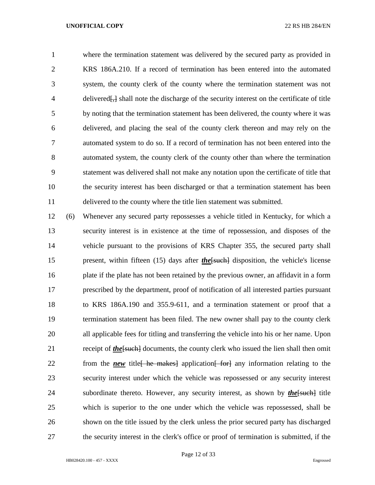where the termination statement was delivered by the secured party as provided in KRS 186A.210. If a record of termination has been entered into the automated system, the county clerk of the county where the termination statement was not delivered[,] shall note the discharge of the security interest on the certificate of title by noting that the termination statement has been delivered, the county where it was delivered, and placing the seal of the county clerk thereon and may rely on the automated system to do so. If a record of termination has not been entered into the automated system, the county clerk of the county other than where the termination statement was delivered shall not make any notation upon the certificate of title that the security interest has been discharged or that a termination statement has been delivered to the county where the title lien statement was submitted.

 (6) Whenever any secured party repossesses a vehicle titled in Kentucky, for which a security interest is in existence at the time of repossession, and disposes of the vehicle pursuant to the provisions of KRS Chapter 355, the secured party shall 15 present, within fifteen (15) days after *the*[such] disposition, the vehicle's license plate if the plate has not been retained by the previous owner, an affidavit in a form prescribed by the department, proof of notification of all interested parties pursuant to KRS 186A.190 and 355.9-611, and a termination statement or proof that a termination statement has been filed. The new owner shall pay to the county clerk all applicable fees for titling and transferring the vehicle into his or her name. Upon 21 receipt of *the* [such] documents, the county clerk who issued the lien shall then omit 22 from the *new* title is he makes application and information relating to the security interest under which the vehicle was repossessed or any security interest 24 subordinate thereto. However, any security interest, as shown by *the*[such] title which is superior to the one under which the vehicle was repossessed, shall be shown on the title issued by the clerk unless the prior secured party has discharged the security interest in the clerk's office or proof of termination is submitted, if the

Page 12 of 33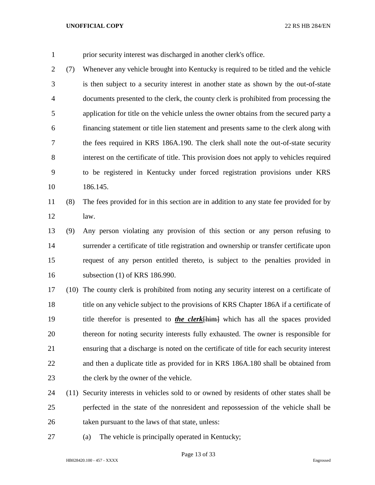prior security interest was discharged in another clerk's office.

 (7) Whenever any vehicle brought into Kentucky is required to be titled and the vehicle is then subject to a security interest in another state as shown by the out-of-state documents presented to the clerk, the county clerk is prohibited from processing the application for title on the vehicle unless the owner obtains from the secured party a financing statement or title lien statement and presents same to the clerk along with the fees required in KRS 186A.190. The clerk shall note the out-of-state security interest on the certificate of title. This provision does not apply to vehicles required to be registered in Kentucky under forced registration provisions under KRS 186.145.

# (8) The fees provided for in this section are in addition to any state fee provided for by law.

 (9) Any person violating any provision of this section or any person refusing to surrender a certificate of title registration and ownership or transfer certificate upon request of any person entitled thereto, is subject to the penalties provided in subsection (1) of KRS 186.990.

 (10) The county clerk is prohibited from noting any security interest on a certificate of 18 title on any vehicle subject to the provisions of KRS Chapter 186A if a certificate of title therefor is presented to *the clerk*[him] which has all the spaces provided thereon for noting security interests fully exhausted. The owner is responsible for ensuring that a discharge is noted on the certificate of title for each security interest and then a duplicate title as provided for in KRS 186A.180 shall be obtained from 23 the clerk by the owner of the vehicle.

- (11) Security interests in vehicles sold to or owned by residents of other states shall be perfected in the state of the nonresident and repossession of the vehicle shall be taken pursuant to the laws of that state, unless:
- (a) The vehicle is principally operated in Kentucky;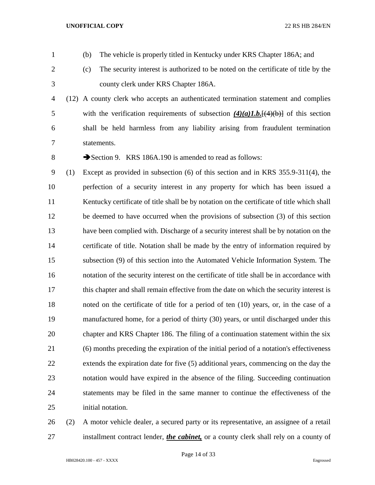- (b) The vehicle is properly titled in Kentucky under KRS Chapter 186A; and
- 
- (c) The security interest is authorized to be noted on the certificate of title by the

county clerk under KRS Chapter 186A.

 (12) A county clerk who accepts an authenticated termination statement and complies 5 with the verification requirements of subsection  $\frac{4}{a}L.$  [ $\left(\frac{4}{b}\right)$ ] of this section shall be held harmless from any liability arising from fraudulent termination statements.

8 Section 9. KRS 186A.190 is amended to read as follows:

 (1) Except as provided in subsection (6) of this section and in KRS 355.9-311(4), the perfection of a security interest in any property for which has been issued a Kentucky certificate of title shall be by notation on the certificate of title which shall be deemed to have occurred when the provisions of subsection (3) of this section have been complied with. Discharge of a security interest shall be by notation on the certificate of title. Notation shall be made by the entry of information required by subsection (9) of this section into the Automated Vehicle Information System. The notation of the security interest on the certificate of title shall be in accordance with this chapter and shall remain effective from the date on which the security interest is noted on the certificate of title for a period of ten (10) years, or, in the case of a manufactured home, for a period of thirty (30) years, or until discharged under this chapter and KRS Chapter 186. The filing of a continuation statement within the six (6) months preceding the expiration of the initial period of a notation's effectiveness extends the expiration date for five (5) additional years, commencing on the day the notation would have expired in the absence of the filing. Succeeding continuation statements may be filed in the same manner to continue the effectiveness of the initial notation.

 (2) A motor vehicle dealer, a secured party or its representative, an assignee of a retail installment contract lender, *the cabinet,* or a county clerk shall rely on a county of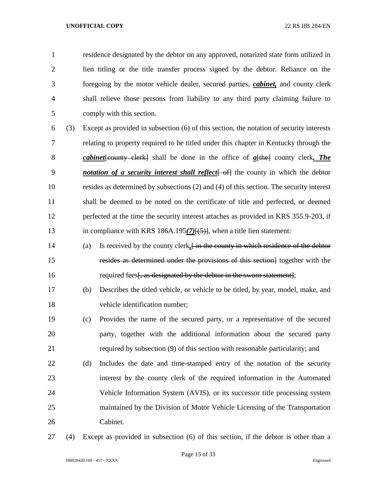residence designated by the debtor on any approved, notarized state form utilized in lien titling or the title transfer process signed by the debtor. Reliance on the foregoing by the motor vehicle dealer, secured parties, *cabinet,* and county clerk shall relieve those persons from liability to any third party claiming failure to comply with this section.

- (3) Except as provided in subsection (6) of this section, the notation of security interests relating to property required to be titled under this chapter in Kentucky through the *cabinet*[county clerk] shall be done in the office of *a*[the] county clerk*. The notation of a security interest shall reflect* [-05] the county in which the debtor resides as determined by subsections (2) and (4) of this section. The security interest shall be deemed to be noted on the certificate of title and perfected, or deemed perfected at the time the security interest attaches as provided in KRS 355.9-203, if in compliance with KRS 186A.195*(7)*[(5)], when a title lien statement:
- (a) Is received by the county clerk*,*[ in the county in which residence of the debtor resides as determined under the provisions of this section] together with the 16 required fees. as designated by the debtor in the sworn statement.
- (b) Describes the titled vehicle, or vehicle to be titled, by year, model, make, and vehicle identification number;
- (c) Provides the name of the secured party, or a representative of the secured party, together with the additional information about the secured party required by subsection (9) of this section with reasonable particularity; and
- (d) Includes the date and time-stamped entry of the notation of the security interest by the county clerk of the required information in the Automated Vehicle Information System (AVIS), or its successor title processing system maintained by the Division of Motor Vehicle Licensing of the Transportation Cabinet.
- (4) Except as provided in subsection (6) of this section, if the debtor is other than a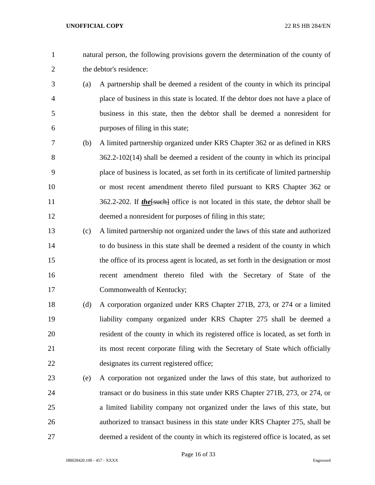- natural person, the following provisions govern the determination of the county of the debtor's residence:
- (a) A partnership shall be deemed a resident of the county in which its principal place of business in this state is located. If the debtor does not have a place of business in this state, then the debtor shall be deemed a nonresident for purposes of filing in this state;
- (b) A limited partnership organized under KRS Chapter 362 or as defined in KRS 362.2-102(14) shall be deemed a resident of the county in which its principal place of business is located, as set forth in its certificate of limited partnership or most recent amendment thereto filed pursuant to KRS Chapter 362 or 362.2-202. If *the*[such] office is not located in this state, the debtor shall be deemed a nonresident for purposes of filing in this state;
- (c) A limited partnership not organized under the laws of this state and authorized to do business in this state shall be deemed a resident of the county in which the office of its process agent is located, as set forth in the designation or most recent amendment thereto filed with the Secretary of State of the Commonwealth of Kentucky;
- (d) A corporation organized under KRS Chapter 271B, 273, or 274 or a limited liability company organized under KRS Chapter 275 shall be deemed a resident of the county in which its registered office is located, as set forth in 21 its most recent corporate filing with the Secretary of State which officially designates its current registered office;
- (e) A corporation not organized under the laws of this state, but authorized to transact or do business in this state under KRS Chapter 271B, 273, or 274, or a limited liability company not organized under the laws of this state, but authorized to transact business in this state under KRS Chapter 275, shall be deemed a resident of the county in which its registered office is located, as set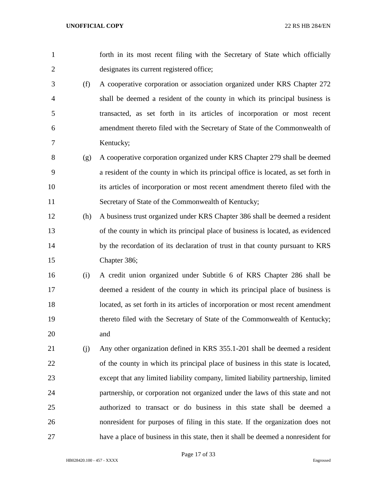- forth in its most recent filing with the Secretary of State which officially designates its current registered office; (f) A cooperative corporation or association organized under KRS Chapter 272 shall be deemed a resident of the county in which its principal business is transacted, as set forth in its articles of incorporation or most recent amendment thereto filed with the Secretary of State of the Commonwealth of Kentucky; (g) A cooperative corporation organized under KRS Chapter 279 shall be deemed a resident of the county in which its principal office is located, as set forth in its articles of incorporation or most recent amendment thereto filed with the Secretary of State of the Commonwealth of Kentucky; (h) A business trust organized under KRS Chapter 386 shall be deemed a resident of the county in which its principal place of business is located, as evidenced 14 by the recordation of its declaration of trust in that county pursuant to KRS Chapter 386; (i) A credit union organized under Subtitle 6 of KRS Chapter 286 shall be deemed a resident of the county in which its principal place of business is
- located, as set forth in its articles of incorporation or most recent amendment thereto filed with the Secretary of State of the Commonwealth of Kentucky; and
- (j) Any other organization defined in KRS 355.1-201 shall be deemed a resident of the county in which its principal place of business in this state is located, except that any limited liability company, limited liability partnership, limited partnership, or corporation not organized under the laws of this state and not authorized to transact or do business in this state shall be deemed a nonresident for purposes of filing in this state. If the organization does not have a place of business in this state, then it shall be deemed a nonresident for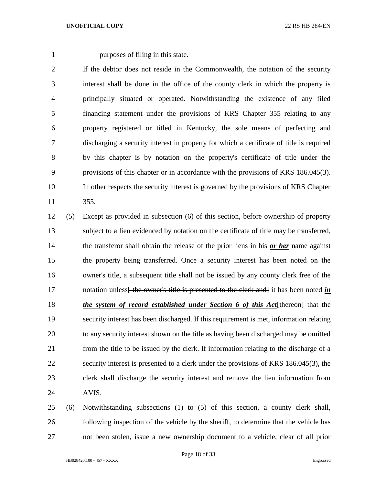purposes of filing in this state.

 If the debtor does not reside in the Commonwealth, the notation of the security interest shall be done in the office of the county clerk in which the property is principally situated or operated. Notwithstanding the existence of any filed financing statement under the provisions of KRS Chapter 355 relating to any property registered or titled in Kentucky, the sole means of perfecting and discharging a security interest in property for which a certificate of title is required by this chapter is by notation on the property's certificate of title under the provisions of this chapter or in accordance with the provisions of KRS 186.045(3). In other respects the security interest is governed by the provisions of KRS Chapter 355.

 (5) Except as provided in subsection (6) of this section, before ownership of property subject to a lien evidenced by notation on the certificate of title may be transferred, the transferor shall obtain the release of the prior liens in his *or her* name against the property being transferred. Once a security interest has been noted on the owner's title, a subsequent title shall not be issued by any county clerk free of the 17 notation unless the owner's title is presented to the clerk and it has been noted *in the system of record established under Section 6 of this Act*[thereon] that the security interest has been discharged. If this requirement is met, information relating to any security interest shown on the title as having been discharged may be omitted from the title to be issued by the clerk. If information relating to the discharge of a security interest is presented to a clerk under the provisions of KRS 186.045(3), the clerk shall discharge the security interest and remove the lien information from AVIS.

 (6) Notwithstanding subsections (1) to (5) of this section, a county clerk shall, following inspection of the vehicle by the sheriff, to determine that the vehicle has not been stolen, issue a new ownership document to a vehicle, clear of all prior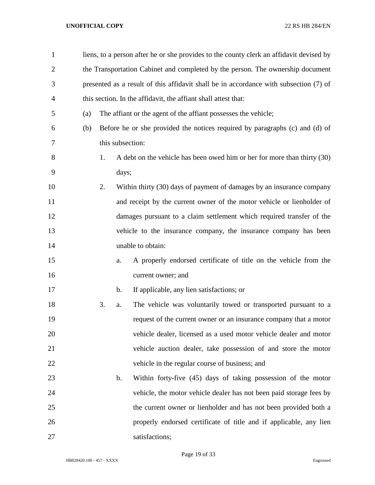| $\mathbf{1}$   |     | liens, to a person after he or she provides to the county clerk an affidavit devised by |               |                                                                             |  |  |
|----------------|-----|-----------------------------------------------------------------------------------------|---------------|-----------------------------------------------------------------------------|--|--|
| $\overline{2}$ |     | the Transportation Cabinet and completed by the person. The ownership document          |               |                                                                             |  |  |
| 3              |     | presented as a result of this affidavit shall be in accordance with subsection (7) of   |               |                                                                             |  |  |
| 4              |     |                                                                                         |               | this section. In the affidavit, the affiant shall attest that:              |  |  |
| 5              | (a) |                                                                                         |               | The affiant or the agent of the affiant possesses the vehicle;              |  |  |
| 6              | (b) |                                                                                         |               | Before he or she provided the notices required by paragraphs (c) and (d) of |  |  |
| 7              |     |                                                                                         |               | this subsection:                                                            |  |  |
| 8              |     | 1.                                                                                      |               | A debt on the vehicle has been owed him or her for more than thirty (30)    |  |  |
| 9              |     |                                                                                         | days;         |                                                                             |  |  |
| 10             |     | 2.                                                                                      |               | Within thirty (30) days of payment of damages by an insurance company       |  |  |
| 11             |     |                                                                                         |               | and receipt by the current owner of the motor vehicle or lienholder of      |  |  |
| 12             |     |                                                                                         |               | damages pursuant to a claim settlement which required transfer of the       |  |  |
| 13             |     |                                                                                         |               | vehicle to the insurance company, the insurance company has been            |  |  |
| 14             |     |                                                                                         |               | unable to obtain:                                                           |  |  |
| 15             |     |                                                                                         | a.            | A properly endorsed certificate of title on the vehicle from the            |  |  |
| 16             |     |                                                                                         |               | current owner; and                                                          |  |  |
| 17             |     |                                                                                         | $\mathbf b$ . | If applicable, any lien satisfactions; or                                   |  |  |
| 18             |     | 3.                                                                                      | a.            | The vehicle was voluntarily towed or transported pursuant to a              |  |  |
| 19             |     |                                                                                         |               | request of the current owner or an insurance company that a motor           |  |  |
| 20             |     |                                                                                         |               | vehicle dealer, licensed as a used motor vehicle dealer and motor           |  |  |
| 21             |     |                                                                                         |               | vehicle auction dealer, take possession of and store the motor              |  |  |
| 22             |     |                                                                                         |               | vehicle in the regular course of business; and                              |  |  |
| 23             |     |                                                                                         | b.            | Within forty-five (45) days of taking possession of the motor               |  |  |
| 24             |     |                                                                                         |               | vehicle, the motor vehicle dealer has not been paid storage fees by         |  |  |
| 25             |     |                                                                                         |               | the current owner or lienholder and has not been provided both a            |  |  |
| 26             |     |                                                                                         |               | properly endorsed certificate of title and if applicable, any lien          |  |  |
| 27             |     |                                                                                         |               | satisfactions;                                                              |  |  |

Page 19 of 33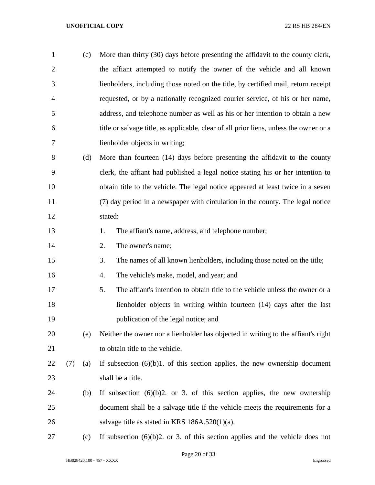| $\mathbf{1}$   |     | (c) | More than thirty (30) days before presenting the affidavit to the county clerk,        |  |  |  |  |
|----------------|-----|-----|----------------------------------------------------------------------------------------|--|--|--|--|
| $\overline{2}$ |     |     | the affiant attempted to notify the owner of the vehicle and all known                 |  |  |  |  |
| 3              |     |     | lienholders, including those noted on the title, by certified mail, return receipt     |  |  |  |  |
| 4              |     |     | requested, or by a nationally recognized courier service, of his or her name,          |  |  |  |  |
| 5              |     |     | address, and telephone number as well as his or her intention to obtain a new          |  |  |  |  |
| 6              |     |     | title or salvage title, as applicable, clear of all prior liens, unless the owner or a |  |  |  |  |
| 7              |     |     | lienholder objects in writing;                                                         |  |  |  |  |
| 8              |     | (d) | More than fourteen (14) days before presenting the affidavit to the county             |  |  |  |  |
| 9              |     |     | clerk, the affiant had published a legal notice stating his or her intention to        |  |  |  |  |
| 10             |     |     | obtain title to the vehicle. The legal notice appeared at least twice in a seven       |  |  |  |  |
| 11             |     |     | (7) day period in a newspaper with circulation in the county. The legal notice         |  |  |  |  |
| 12             |     |     | stated:                                                                                |  |  |  |  |
| 13             |     |     | The affiant's name, address, and telephone number;<br>1.                               |  |  |  |  |
| 14             |     |     | The owner's name;<br>2.                                                                |  |  |  |  |
| 15             |     |     | The names of all known lienholders, including those noted on the title;<br>3.          |  |  |  |  |
| 16             |     |     | The vehicle's make, model, and year; and<br>4.                                         |  |  |  |  |
| 17             |     |     | 5.<br>The affiant's intention to obtain title to the vehicle unless the owner or a     |  |  |  |  |
| 18             |     |     | lienholder objects in writing within fourteen (14) days after the last                 |  |  |  |  |
| 19             |     |     | publication of the legal notice; and                                                   |  |  |  |  |
| 20             |     | (e) | Neither the owner nor a lienholder has objected in writing to the affiant's right      |  |  |  |  |
| 21             |     |     | to obtain title to the vehicle.                                                        |  |  |  |  |
| 22             | (7) | (a) | If subsection $(6)(b)1$ . of this section applies, the new ownership document          |  |  |  |  |
| 23             |     |     | shall be a title.                                                                      |  |  |  |  |
| 24             |     | (b) | If subsection $(6)(b)2$ or 3. of this section applies, the new ownership               |  |  |  |  |
| 25             |     |     | document shall be a salvage title if the vehicle meets the requirements for a          |  |  |  |  |
| 26             |     |     | salvage title as stated in KRS $186A.520(1)(a)$ .                                      |  |  |  |  |
| 27             |     | (c) | If subsection $(6)(b)2$ . or 3. of this section applies and the vehicle does not       |  |  |  |  |

Page 20 of 33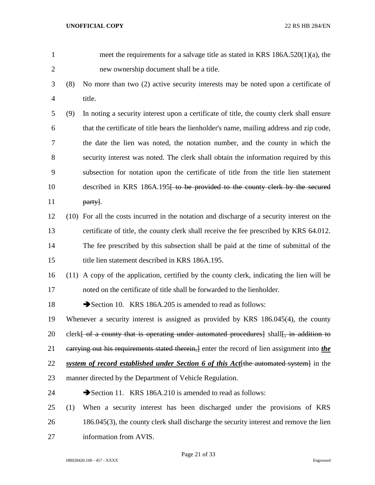| $\mathbf{1}$   |      | meet the requirements for a salvage title as stated in KRS $186A.520(1)(a)$ , the                               |
|----------------|------|-----------------------------------------------------------------------------------------------------------------|
| $\overline{2}$ |      | new ownership document shall be a title.                                                                        |
| 3              | (8)  | No more than two (2) active security interests may be noted upon a certificate of                               |
| $\overline{4}$ |      | title.                                                                                                          |
| 5              | (9)  | In noting a security interest upon a certificate of title, the county clerk shall ensure                        |
| 6              |      | that the certificate of title bears the lienholder's name, mailing address and zip code,                        |
| 7              |      | the date the lien was noted, the notation number, and the county in which the                                   |
| 8              |      | security interest was noted. The clerk shall obtain the information required by this                            |
| 9              |      | subsection for notation upon the certificate of title from the title lien statement                             |
| 10             |      | described in KRS 186A.195 <del> to be provided to the county clerk by the secured</del>                         |
| 11             |      | party.                                                                                                          |
| 12             | (10) | For all the costs incurred in the notation and discharge of a security interest on the                          |
| 13             |      | certificate of title, the county clerk shall receive the fee prescribed by KRS 64.012.                          |
| 14             |      | The fee prescribed by this subsection shall be paid at the time of submittal of the                             |
| 15             |      | title lien statement described in KRS 186A.195.                                                                 |
| 16             |      | (11) A copy of the application, certified by the county clerk, indicating the lien will be                      |
| 17             |      | noted on the certificate of title shall be forwarded to the lienholder.                                         |
| 18             |      | Section 10. KRS 186A.205 is amended to read as follows:                                                         |
| 19             |      | Whenever a security interest is assigned as provided by KRS 186.045(4), the county                              |
| 20             |      | clerk <del>[ of a county that is operating under automated procedures]</del> shall <del>[, in addition to</del> |
| 21             |      | earrying out his requirements stated therein, and enter the record of lien assignment into the                  |
| 22             |      | system of record established under Section 6 of this Act the automated system in the                            |
| 23             |      | manner directed by the Department of Vehicle Regulation.                                                        |
| 24             |      | Section 11. KRS 186A.210 is amended to read as follows:                                                         |
| 25             | (1)  | When a security interest has been discharged under the provisions of KRS                                        |
| 26             |      | 186.045(3), the county clerk shall discharge the security interest and remove the lien                          |
| 27             |      | information from AVIS.                                                                                          |

Page 21 of 33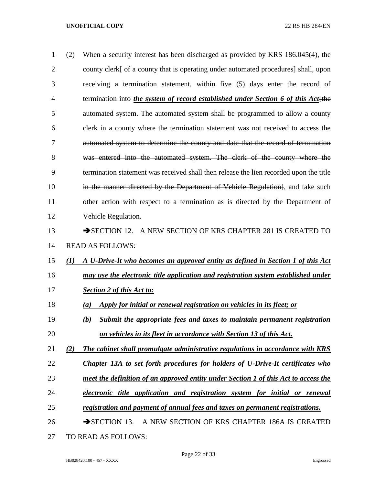| $\mathbf{1}$   | (2)              | When a security interest has been discharged as provided by KRS 186.045(4), the        |
|----------------|------------------|----------------------------------------------------------------------------------------|
| $\overline{2}$ |                  | county clerk of a county that is operating under automated procedures shall, upon      |
| 3              |                  | receiving a termination statement, within five (5) days enter the record of            |
| 4              |                  | termination into the system of record established under Section 6 of this Act the      |
| 5              |                  | automated system. The automated system shall be programmed to allow a county           |
| 6              |                  | clerk in a county where the termination statement was not received to access the       |
| 7              |                  | automated system to determine the county and date that the record of termination       |
| 8              |                  | was entered into the automated system. The clerk of the county where the               |
| 9              |                  | termination statement was received shall then release the lien recorded upon the title |
| 10             |                  | in the manner directed by the Department of Vehicle Regulation, and take such          |
| 11             |                  | other action with respect to a termination as is directed by the Department of         |
| 12             |                  | Vehicle Regulation.                                                                    |
| 13             |                  | SECTION 12. A NEW SECTION OF KRS CHAPTER 281 IS CREATED TO                             |
| 14             |                  | <b>READ AS FOLLOWS:</b>                                                                |
| 15             | $\mathcal{L}(I)$ | A U-Drive-It who becomes an approved entity as defined in Section 1 of this Act        |
| 16             |                  | may use the electronic title application and registration system established under     |
| 17             |                  | <b>Section 2 of this Act to:</b>                                                       |
| 18             |                  | Apply for initial or renewal registration on vehicles in its fleet; or<br>(a)          |
| 19             |                  | Submit the appropriate fees and taxes to maintain permanent registration<br>(b)        |
| 20             |                  | <u>on vehicles in its fleet in accordance with Section 13 of this Act.</u>             |
| 21             | (2)              | The cabinet shall promulgate administrative regulations in accordance with KRS         |
| 22             |                  | Chapter 13A to set forth procedures for holders of U-Drive-It certificates who         |
| 23             |                  | meet the definition of an approved entity under Section 1 of this Act to access the    |
| 24             |                  | electronic title application and registration system for initial or renewal            |
| 25             |                  | registration and payment of annual fees and taxes on permanent registrations.          |
| 26             |                  | $\rightarrow$ SECTION 13.<br>A NEW SECTION OF KRS CHAPTER 186A IS CREATED              |
| 27             |                  | TO READ AS FOLLOWS:                                                                    |

Page 22 of 33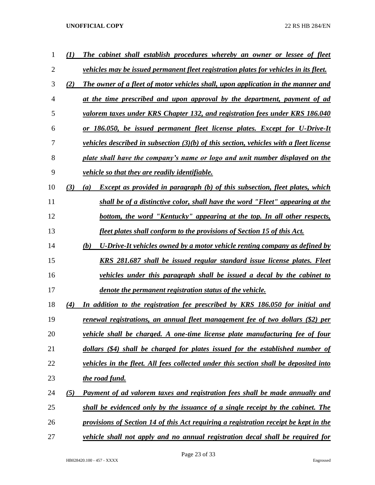| 1              | $\left( I\right)$ | The cabinet shall establish procedures whereby an owner or lessee of fleet                             |
|----------------|-------------------|--------------------------------------------------------------------------------------------------------|
| $\overline{2}$ |                   | vehicles may be issued permanent fleet registration plates for vehicles in its fleet.                  |
| 3              | (2)               | The owner of a fleet of motor vehicles shall, upon application in the manner and                       |
| 4              |                   | at the time prescribed and upon approval by the department, payment of ad                              |
| 5              |                   | valorem taxes under KRS Chapter 132, and registration fees under KRS 186.040                           |
| 6              |                   | or 186.050, be issued permanent fleet license plates. Except for U-Drive-It                            |
| 7              |                   | <i>vehicles described in subsection</i> $(3)(b)$ <i>of this section, vehicles with a fleet license</i> |
| 8              |                   | plate shall have the company's name or logo and unit number displayed on the                           |
| 9              |                   | vehicle so that they are readily identifiable.                                                         |
| 10             | (3)               | <b>Except as provided in paragraph (b) of this subsection, fleet plates, which</b><br>(a)              |
| 11             |                   | shall be of a distinctive color, shall have the word "Fleet" appearing at the                          |
| 12             |                   | bottom, the word "Kentucky" appearing at the top. In all other respects,                               |
| 13             |                   | fleet plates shall conform to the provisions of Section 15 of this Act.                                |
| 14             |                   | (b)<br>U-Drive-It vehicles owned by a motor vehicle renting company as defined by                      |
| 15             |                   | KRS 281.687 shall be issued regular standard issue license plates. Fleet                               |
| 16             |                   | <i>vehicles under this paragraph shall be issued a decal by the cabinet to</i>                         |
| 17             |                   | denote the permanent registration status of the vehicle.                                               |
| 18             | (4)               | In addition to the registration fee prescribed by KRS 186.050 for initial and                          |
| 19             |                   | <u>renewal registrations, an annual fleet management fee of two dollars (\$2) per</u>                  |
| 20             |                   | vehicle shall be charged. A one-time license plate manufacturing fee of four                           |
| 21             |                   | dollars (\$4) shall be charged for plates issued for the established number of                         |
| 22             |                   | vehicles in the fleet. All fees collected under this section shall be deposited into                   |
| 23             |                   | the road fund.                                                                                         |
| 24             | (5)               | Payment of ad valorem taxes and registration fees shall be made annually and                           |
| 25             |                   | shall be evidenced only by the issuance of a single receipt by the cabinet. The                        |
| 26             |                   | provisions of Section 14 of this Act requiring a registration receipt be kept in the                   |
| 27             |                   | vehicle shall not apply and no annual registration decal shall be required for                         |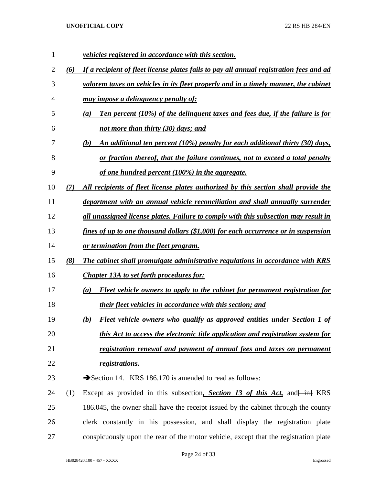| 1  |     | <i>vehicles registered in accordance with this section.</i>                             |
|----|-----|-----------------------------------------------------------------------------------------|
| 2  | (6) | If a recipient of fleet license plates fails to pay all annual registration fees and ad |
| 3  |     | valorem taxes on vehicles in its fleet properly and in a timely manner, the cabinet     |
| 4  |     | <u>may impose a delinquency penalty of:</u>                                             |
| 5  |     | Ten percent (10%) of the delinguent taxes and fees due, if the failure is for<br>(a)    |
| 6  |     | <u>not more than thirty (30) days; and</u>                                              |
| 7  |     | An additional ten percent (10%) penalty for each additional thirty (30) days,<br>(b)    |
| 8  |     | or fraction thereof, that the failure continues, not to exceed a total penalty          |
| 9  |     | of one hundred percent (100%) in the aggregate.                                         |
| 10 | (7) | All recipients of fleet license plates authorized by this section shall provide the     |
| 11 |     | department with an annual vehicle reconciliation and shall annually surrender           |
| 12 |     | all unassigned license plates. Failure to comply with this subsection may result in     |
| 13 |     | fines of up to one thousand dollars (\$1,000) for each occurrence or in suspension      |
| 14 |     | or termination from the fleet program.                                                  |
| 15 | (8) | The cabinet shall promulgate administrative regulations in accordance with KRS          |
| 16 |     | <b>Chapter 13A to set forth procedures for:</b>                                         |
| 17 |     | Fleet vehicle owners to apply to the cabinet for permanent registration for<br>(a)      |
| 18 |     | their fleet vehicles in accordance with this section; and                               |
| 19 |     | Fleet vehicle owners who qualify as approved entities under Section 1 of<br>(b)         |
| 20 |     | this Act to access the electronic title application and registration system for         |
| 21 |     | registration renewal and payment of annual fees and taxes on permanent                  |
| 22 |     | registrations.                                                                          |
| 23 |     | Section 14. KRS 186.170 is amended to read as follows:                                  |
| 24 | (1) | Except as provided in this subsection, Section 13 of this Act, and $\frac{1}{2}$ KRS    |
| 25 |     | 186.045, the owner shall have the receipt issued by the cabinet through the county      |
| 26 |     | clerk constantly in his possession, and shall display the registration plate            |
| 27 |     | conspicuously upon the rear of the motor vehicle, except that the registration plate    |

Page 24 of 33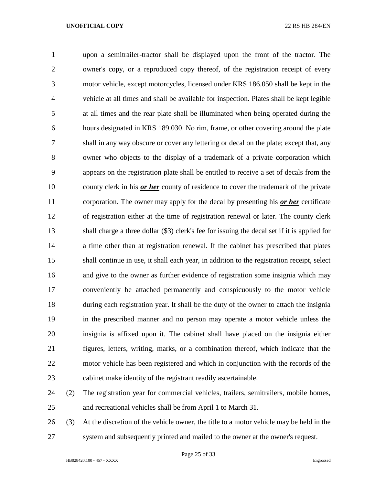upon a semitrailer-tractor shall be displayed upon the front of the tractor. The owner's copy, or a reproduced copy thereof, of the registration receipt of every motor vehicle, except motorcycles, licensed under KRS 186.050 shall be kept in the vehicle at all times and shall be available for inspection. Plates shall be kept legible at all times and the rear plate shall be illuminated when being operated during the hours designated in KRS 189.030. No rim, frame, or other covering around the plate shall in any way obscure or cover any lettering or decal on the plate; except that, any owner who objects to the display of a trademark of a private corporation which appears on the registration plate shall be entitled to receive a set of decals from the county clerk in his *or her* county of residence to cover the trademark of the private corporation. The owner may apply for the decal by presenting his *or her* certificate of registration either at the time of registration renewal or later. The county clerk shall charge a three dollar (\$3) clerk's fee for issuing the decal set if it is applied for a time other than at registration renewal. If the cabinet has prescribed that plates shall continue in use, it shall each year, in addition to the registration receipt, select and give to the owner as further evidence of registration some insignia which may conveniently be attached permanently and conspicuously to the motor vehicle during each registration year. It shall be the duty of the owner to attach the insignia in the prescribed manner and no person may operate a motor vehicle unless the insignia is affixed upon it. The cabinet shall have placed on the insignia either figures, letters, writing, marks, or a combination thereof, which indicate that the motor vehicle has been registered and which in conjunction with the records of the cabinet make identity of the registrant readily ascertainable. (2) The registration year for commercial vehicles, trailers, semitrailers, mobile homes, and recreational vehicles shall be from April 1 to March 31.

 (3) At the discretion of the vehicle owner, the title to a motor vehicle may be held in the system and subsequently printed and mailed to the owner at the owner's request.

Page 25 of 33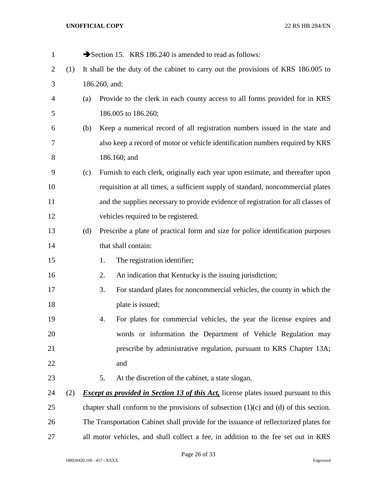| $\mathbf{1}$ |     |     |                                                                                   | Section 15. KRS 186.240 is amended to read as follows:                                      |  |  |
|--------------|-----|-----|-----------------------------------------------------------------------------------|---------------------------------------------------------------------------------------------|--|--|
| 2            | (1) |     | It shall be the duty of the cabinet to carry out the provisions of KRS 186.005 to |                                                                                             |  |  |
| 3            |     |     | 186.260, and:                                                                     |                                                                                             |  |  |
| 4            |     | (a) |                                                                                   | Provide to the clerk in each county access to all forms provided for in KRS                 |  |  |
| 5            |     |     |                                                                                   | 186.005 to 186.260;                                                                         |  |  |
| 6            |     | (b) |                                                                                   | Keep a numerical record of all registration numbers issued in the state and                 |  |  |
| 7            |     |     |                                                                                   | also keep a record of motor or vehicle identification numbers required by KRS               |  |  |
| 8            |     |     |                                                                                   | 186.160; and                                                                                |  |  |
| 9            |     | (c) |                                                                                   | Furnish to each clerk, originally each year upon estimate, and thereafter upon              |  |  |
| 10           |     |     |                                                                                   | requisition at all times, a sufficient supply of standard, noncommercial plates             |  |  |
| 11           |     |     |                                                                                   | and the supplies necessary to provide evidence of registration for all classes of           |  |  |
| 12           |     |     |                                                                                   | vehicles required to be registered.                                                         |  |  |
| 13           |     | (d) |                                                                                   | Prescribe a plate of practical form and size for police identification purposes             |  |  |
| 14           |     |     |                                                                                   | that shall contain:                                                                         |  |  |
| 15           |     |     | 1.                                                                                | The registration identifier;                                                                |  |  |
| 16           |     |     | 2.                                                                                | An indication that Kentucky is the issuing jurisdiction;                                    |  |  |
| 17           |     |     | 3.                                                                                | For standard plates for noncommercial vehicles, the county in which the                     |  |  |
| 18           |     |     |                                                                                   | plate is issued;                                                                            |  |  |
| 19           |     |     | 4.                                                                                | For plates for commercial vehicles, the year the license expires and                        |  |  |
| 20           |     |     |                                                                                   | words or information the Department of Vehicle Regulation may                               |  |  |
| 21           |     |     |                                                                                   | prescribe by administrative regulation, pursuant to KRS Chapter 13A;                        |  |  |
| 22           |     |     |                                                                                   | and                                                                                         |  |  |
| 23           |     |     | 5.                                                                                | At the discretion of the cabinet, a state slogan.                                           |  |  |
| 24           | (2) |     |                                                                                   | <b>Except as provided in Section 13 of this Act,</b> license plates issued pursuant to this |  |  |
| 25           |     |     |                                                                                   | chapter shall conform to the provisions of subsection $(1)(c)$ and $(d)$ of this section.   |  |  |
| 26           |     |     |                                                                                   | The Transportation Cabinet shall provide for the issuance of reflectorized plates for       |  |  |
| 27           |     |     |                                                                                   | all motor vehicles, and shall collect a fee, in addition to the fee set out in KRS          |  |  |

Page 26 of 33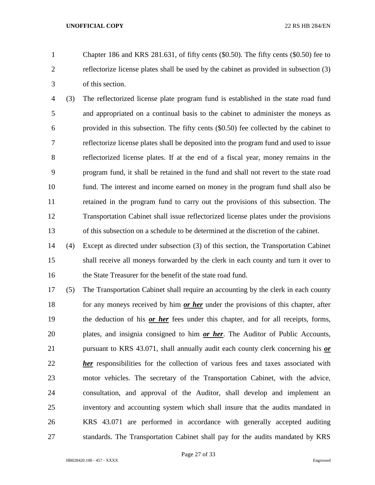Chapter 186 and KRS 281.631, of fifty cents (\$0.50). The fifty cents (\$0.50) fee to reflectorize license plates shall be used by the cabinet as provided in subsection (3) of this section.

 (3) The reflectorized license plate program fund is established in the state road fund and appropriated on a continual basis to the cabinet to administer the moneys as provided in this subsection. The fifty cents (\$0.50) fee collected by the cabinet to reflectorize license plates shall be deposited into the program fund and used to issue reflectorized license plates. If at the end of a fiscal year, money remains in the program fund, it shall be retained in the fund and shall not revert to the state road fund. The interest and income earned on money in the program fund shall also be retained in the program fund to carry out the provisions of this subsection. The Transportation Cabinet shall issue reflectorized license plates under the provisions of this subsection on a schedule to be determined at the discretion of the cabinet.

 (4) Except as directed under subsection (3) of this section, the Transportation Cabinet shall receive all moneys forwarded by the clerk in each county and turn it over to the State Treasurer for the benefit of the state road fund.

 (5) The Transportation Cabinet shall require an accounting by the clerk in each county for any moneys received by him *or her* under the provisions of this chapter, after the deduction of his *or her* fees under this chapter, and for all receipts, forms, plates, and insignia consigned to him *or her*. The Auditor of Public Accounts, pursuant to KRS 43.071, shall annually audit each county clerk concerning his *or her* responsibilities for the collection of various fees and taxes associated with motor vehicles. The secretary of the Transportation Cabinet, with the advice, consultation, and approval of the Auditor, shall develop and implement an inventory and accounting system which shall insure that the audits mandated in KRS 43.071 are performed in accordance with generally accepted auditing standards. The Transportation Cabinet shall pay for the audits mandated by KRS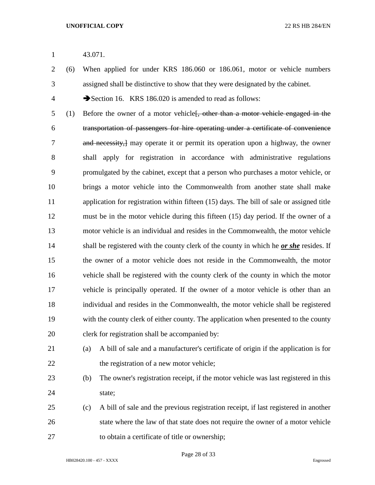43.071.

 (6) When applied for under KRS 186.060 or 186.061, motor or vehicle numbers assigned shall be distinctive to show that they were designated by the cabinet.

4 Section 16. KRS 186.020 is amended to read as follows:

5 (1) Before the owner of a motor vehicle f, other than a motor vehicle engaged in the transportation of passengers for hire operating under a certificate of convenience and necessity,] may operate it or permit its operation upon a highway, the owner shall apply for registration in accordance with administrative regulations promulgated by the cabinet, except that a person who purchases a motor vehicle, or brings a motor vehicle into the Commonwealth from another state shall make application for registration within fifteen (15) days. The bill of sale or assigned title must be in the motor vehicle during this fifteen (15) day period. If the owner of a motor vehicle is an individual and resides in the Commonwealth, the motor vehicle shall be registered with the county clerk of the county in which he *or she* resides. If the owner of a motor vehicle does not reside in the Commonwealth, the motor vehicle shall be registered with the county clerk of the county in which the motor vehicle is principally operated. If the owner of a motor vehicle is other than an individual and resides in the Commonwealth, the motor vehicle shall be registered with the county clerk of either county. The application when presented to the county clerk for registration shall be accompanied by:



 (a) A bill of sale and a manufacturer's certificate of origin if the application is for 22 the registration of a new motor vehicle;

- (b) The owner's registration receipt, if the motor vehicle was last registered in this 24 state:
- (c) A bill of sale and the previous registration receipt, if last registered in another state where the law of that state does not require the owner of a motor vehicle to obtain a certificate of title or ownership;

Page 28 of 33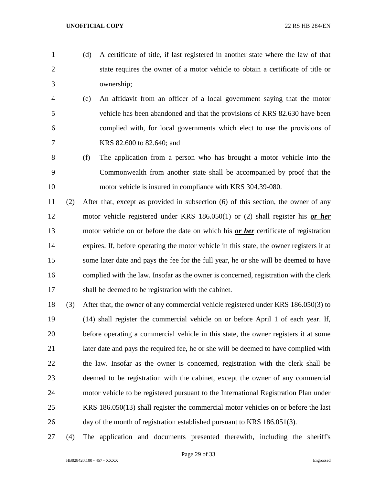- 
- (d) A certificate of title, if last registered in another state where the law of that state requires the owner of a motor vehicle to obtain a certificate of title or ownership;
	- (e) An affidavit from an officer of a local government saying that the motor vehicle has been abandoned and that the provisions of KRS 82.630 have been complied with, for local governments which elect to use the provisions of KRS 82.600 to 82.640; and
- (f) The application from a person who has brought a motor vehicle into the Commonwealth from another state shall be accompanied by proof that the motor vehicle is insured in compliance with KRS 304.39-080.
- (2) After that, except as provided in subsection (6) of this section, the owner of any motor vehicle registered under KRS 186.050(1) or (2) shall register his *or her* motor vehicle on or before the date on which his *or her* certificate of registration expires. If, before operating the motor vehicle in this state, the owner registers it at some later date and pays the fee for the full year, he or she will be deemed to have complied with the law. Insofar as the owner is concerned, registration with the clerk shall be deemed to be registration with the cabinet.
- (3) After that, the owner of any commercial vehicle registered under KRS 186.050(3) to (14) shall register the commercial vehicle on or before April 1 of each year. If, before operating a commercial vehicle in this state, the owner registers it at some later date and pays the required fee, he or she will be deemed to have complied with the law. Insofar as the owner is concerned, registration with the clerk shall be deemed to be registration with the cabinet, except the owner of any commercial motor vehicle to be registered pursuant to the International Registration Plan under KRS 186.050(13) shall register the commercial motor vehicles on or before the last day of the month of registration established pursuant to KRS 186.051(3).
- (4) The application and documents presented therewith, including the sheriff's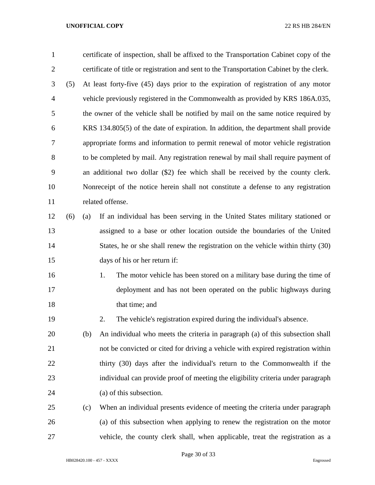| $\mathbf{1}$   |     |     | certificate of inspection, shall be affixed to the Transportation Cabinet copy of the     |  |  |
|----------------|-----|-----|-------------------------------------------------------------------------------------------|--|--|
| $\overline{2}$ |     |     | certificate of title or registration and sent to the Transportation Cabinet by the clerk. |  |  |
| 3              | (5) |     | At least forty-five (45) days prior to the expiration of registration of any motor        |  |  |
| $\overline{4}$ |     |     | vehicle previously registered in the Commonwealth as provided by KRS 186A.035,            |  |  |
| 5              |     |     | the owner of the vehicle shall be notified by mail on the same notice required by         |  |  |
| 6              |     |     | KRS 134.805(5) of the date of expiration. In addition, the department shall provide       |  |  |
| 7              |     |     | appropriate forms and information to permit renewal of motor vehicle registration         |  |  |
| 8              |     |     | to be completed by mail. Any registration renewal by mail shall require payment of        |  |  |
| 9              |     |     | an additional two dollar (\$2) fee which shall be received by the county clerk.           |  |  |
| 10             |     |     | Nonreceipt of the notice herein shall not constitute a defense to any registration        |  |  |
| 11             |     |     | related offense.                                                                          |  |  |
| 12             | (6) | (a) | If an individual has been serving in the United States military stationed or              |  |  |
| 13             |     |     | assigned to a base or other location outside the boundaries of the United                 |  |  |
| 14             |     |     | States, he or she shall renew the registration on the vehicle within thirty (30)          |  |  |
| 15             |     |     | days of his or her return if:                                                             |  |  |
| 16             |     |     | 1.<br>The motor vehicle has been stored on a military base during the time of             |  |  |
| 17             |     |     | deployment and has not been operated on the public highways during                        |  |  |
| 18             |     |     | that time; and                                                                            |  |  |
| 19             |     |     | 2.<br>The vehicle's registration expired during the individual's absence.                 |  |  |
| 20             |     | (b) | An individual who meets the criteria in paragraph (a) of this subsection shall            |  |  |
| 21             |     |     | not be convicted or cited for driving a vehicle with expired registration within          |  |  |
| 22             |     |     | thirty (30) days after the individual's return to the Commonwealth if the                 |  |  |
| 23             |     |     | individual can provide proof of meeting the eligibility criteria under paragraph          |  |  |
| 24             |     |     | (a) of this subsection.                                                                   |  |  |
| 25             |     | (c) | When an individual presents evidence of meeting the criteria under paragraph              |  |  |
| 26             |     |     | (a) of this subsection when applying to renew the registration on the motor               |  |  |
| 27             |     |     | vehicle, the county clerk shall, when applicable, treat the registration as a             |  |  |

Page 30 of 33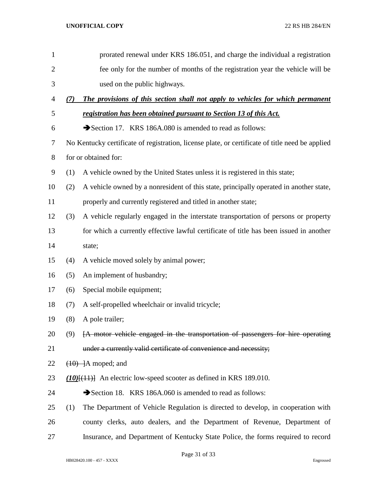| $\mathbf{1}$   |                      | prorated renewal under KRS 186.051, and charge the individual a registration                    |  |  |
|----------------|----------------------|-------------------------------------------------------------------------------------------------|--|--|
| $\overline{2}$ |                      | fee only for the number of months of the registration year the vehicle will be                  |  |  |
| 3              |                      | used on the public highways.                                                                    |  |  |
| 4              | (7)                  | The provisions of this section shall not apply to vehicles for which permanent                  |  |  |
| 5              |                      | registration has been obtained pursuant to Section 13 of this Act.                              |  |  |
| 6              |                      | Section 17. KRS 186A.080 is amended to read as follows:                                         |  |  |
| 7              |                      | No Kentucky certificate of registration, license plate, or certificate of title need be applied |  |  |
| 8              | for or obtained for: |                                                                                                 |  |  |
| 9              | (1)                  | A vehicle owned by the United States unless it is registered in this state;                     |  |  |
| 10             | (2)                  | A vehicle owned by a nonresident of this state, principally operated in another state,          |  |  |
| 11             |                      | properly and currently registered and titled in another state;                                  |  |  |
| 12             | (3)                  | A vehicle regularly engaged in the interstate transportation of persons or property             |  |  |
| 13             |                      | for which a currently effective lawful certificate of title has been issued in another          |  |  |
| 14             |                      | state;                                                                                          |  |  |
| 15             | (4)                  | A vehicle moved solely by animal power;                                                         |  |  |
| 16             | (5)                  | An implement of husbandry;                                                                      |  |  |
| 17             | (6)                  | Special mobile equipment;                                                                       |  |  |
| 18             | (7)                  | A self-propelled wheelchair or invalid tricycle;                                                |  |  |
| 19             | (8)                  | A pole trailer;                                                                                 |  |  |
| 20             | (9)                  | [A motor vehicle engaged in the transportation of passengers for hire operating                 |  |  |
| 21             |                      | under a currently valid certificate of convenience and necessity;                               |  |  |
| 22             |                      | $(10)$ -]A moped; and                                                                           |  |  |
| 23             |                      | $(10)$ $(11)$ } An electric low-speed scooter as defined in KRS 189.010.                        |  |  |
| 24             |                      | Section 18. KRS 186A.060 is amended to read as follows:                                         |  |  |
| 25             | (1)                  | The Department of Vehicle Regulation is directed to develop, in cooperation with                |  |  |
| 26             |                      | county clerks, auto dealers, and the Department of Revenue, Department of                       |  |  |
| 27             |                      | Insurance, and Department of Kentucky State Police, the forms required to record                |  |  |

Page 31 of 33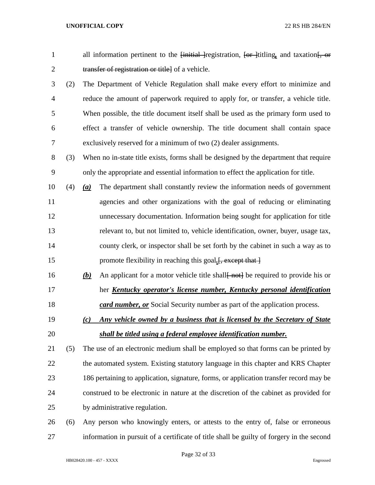| 1              |     | all information pertinent to the <del>[initial ]</del> registration, <del>[or ]</del> titling, and taxation[, or |  |  |
|----------------|-----|------------------------------------------------------------------------------------------------------------------|--|--|
| $\mathbf{2}$   |     | transfer of registration or title] of a vehicle.                                                                 |  |  |
| 3              | (2) | The Department of Vehicle Regulation shall make every effort to minimize and                                     |  |  |
| $\overline{4}$ |     | reduce the amount of paperwork required to apply for, or transfer, a vehicle title.                              |  |  |
| 5              |     | When possible, the title document itself shall be used as the primary form used to                               |  |  |
| 6              |     | effect a transfer of vehicle ownership. The title document shall contain space                                   |  |  |
| 7              |     | exclusively reserved for a minimum of two (2) dealer assignments.                                                |  |  |
| 8              | (3) | When no in-state title exists, forms shall be designed by the department that require                            |  |  |
| 9              |     | only the appropriate and essential information to effect the application for title.                              |  |  |
| 10             | (4) | The department shall constantly review the information needs of government<br>$\underline{(a)}$                  |  |  |
| 11             |     | agencies and other organizations with the goal of reducing or eliminating                                        |  |  |
| 12             |     | unnecessary documentation. Information being sought for application for title                                    |  |  |
| 13             |     | relevant to, but not limited to, vehicle identification, owner, buyer, usage tax,                                |  |  |
| 14             |     | county clerk, or inspector shall be set forth by the cabinet in such a way as to                                 |  |  |
| 15             |     | promote flexibility in reaching this goal.[, except that ]                                                       |  |  |
| 16             |     | An applicant for a motor vehicle title shall not be required to provide his or<br><u>(b)</u>                     |  |  |
| 17             |     | her Kentucky operator's license number, Kentucky personal identification                                         |  |  |
| 18             |     | card number, or Social Security number as part of the application process.                                       |  |  |
| 19             |     | Any vehicle owned by a business that is licensed by the Secretary of State<br>(c)                                |  |  |
| 20             |     | shall be titled using a federal employee identification number.                                                  |  |  |
| 21             | (5) | The use of an electronic medium shall be employed so that forms can be printed by                                |  |  |
| 22             |     | the automated system. Existing statutory language in this chapter and KRS Chapter                                |  |  |
| 23             |     | 186 pertaining to application, signature, forms, or application transfer record may be                           |  |  |
| 24             |     | construed to be electronic in nature at the discretion of the cabinet as provided for                            |  |  |
| 25             |     | by administrative regulation.                                                                                    |  |  |
| 26             | (6) | Any person who knowingly enters, or attests to the entry of, false or erroneous                                  |  |  |
| 27             |     | information in pursuit of a certificate of title shall be guilty of forgery in the second                        |  |  |

Page 32 of 33